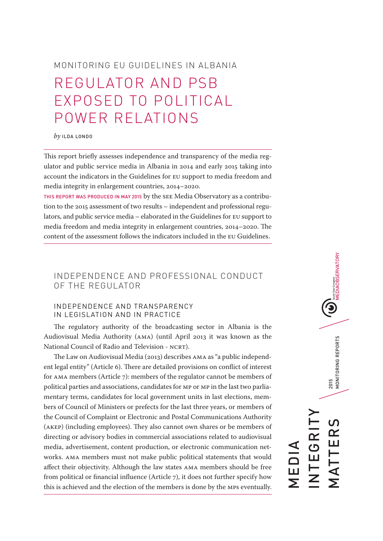# MONITORING EU GUIDELINES IN ALBANIA REGULATOR AND PSB EXPOSED TO POLITICAL POWER RELATIONS

#### *by* ILDA LONDO

This report briefly assesses independence and transparency of the media regulator and public service media in Albania in 2014 and early 2015 taking into account the indicators in the Guidelines for EU support to media freedom and media integrity in enlargement countries, 2014–2020.

THIS REPORT WAS PRODUCED IN MAY 2015 by the SEE Media Observatory as a contribution to the 2015 assessment of two results – independent and professional regulators, and public service media – elaborated in the Guidelines for EU support to media freedom and media integrity in enlargement countries, 2014–2020. The content of the assessment follows the indicators included in the EU Guidelines.

# INDEPENDENCE AND PROFESSIONAL CONDUCT OF THE REGULATOR

## INDEPENDENCE AND TRANSPARENCY IN LEGISLATION AND IN PRACTICE

The regulatory authority of the broadcasting sector in Albania is the Audiovisual Media Authority (AMA) (until April 2013 it was known as the National Council of Radio and Television - NCRT).

The Law on Audiovisual Media (2013) describes AMA as "a public independent legal entity" (Article 6). There are detailed provisions on conflict of interest for AMA members (Article 7): members of the regulator cannot be members of political parties and associations, candidates for MP or MP in the last two parliamentary terms, candidates for local government units in last elections, members of Council of Ministers or prefects for the last three years, or members of the Council of Complaint or Electronic and Postal Communications Authority (AKEP) (including employees). They also cannot own shares or be members of directing or advisory bodies in commercial associations related to audiovisual media, advertisement, content production, or electronic communication networks. AMA members must not make public political statements that would affect their objectivity. Although the law states AMA members should be free from political or financial influence (Article 7), it does not further specify how this is achieved and the election of the members is done by the MPs eventually.

 $\bigcirc$   $\bigcirc$  MEDIAOBSERVATORY 2015<br>MONITORING REPORTS MATTERS 2015 MONITORING REPORTS INTEGRITY  $\Omega$ **EGRI** TTER MEDIA .<br>Σ<br>Σ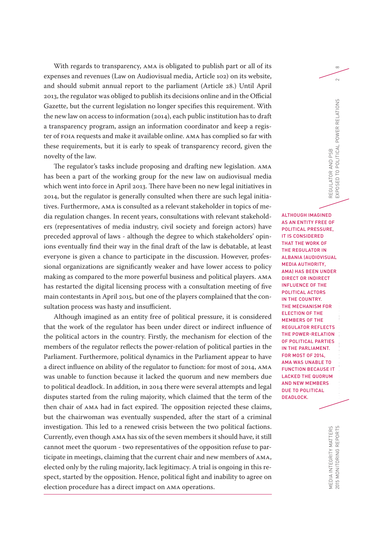With regards to transparency, AMA is obligated to publish part or all of its  $\infty$ expenses and revenues (Law on Audiovisual media, Article 102) on its website, and should submit annual report to the parliament (Article 28.) Until April 2013, the regulator was obliged to publish its decisions online and in the Official Gazette, but the current legislation no longer specifies this requirement. With the new law on access to information (2014), each public institution has to draft a transparency program, assign an information coordinator and keep a register of FOIA requests and make it available online. AMA has complied so far with these requirements, but it is early to speak of transparency record, given the novelty of the law.

The regulator's tasks include proposing and drafting new legislation. AMA has been a part of the working group for the new law on audiovisual media which went into force in April 2013. There have been no new legal initiatives in 2014, but the regulator is generally consulted when there are such legal initiatives. Furthermore, AMA is consulted as a relevant stakeholder in topics of media regulation changes. In recent years, consultations with relevant stakeholders (representatives of media industry, civil society and foreign actors) have preceded approval of laws - although the degree to which stakeholders' opinions eventually find their way in the final draft of the law is debatable, at least everyone is given a chance to participate in the discussion. However, professional organizations are significantly weaker and have lower access to policy making as compared to the more powerful business and political players. AMA has restarted the digital licensing process with a consultation meeting of five main contestants in April 2015, but one of the players complained that the consultation process was hasty and insufficient.

Although imagined as an entity free of political pressure, it is considered that the work of the regulator has been under direct or indirect influence of the political actors in the country. Firstly, the mechanism for election of the members of the regulator reflects the power-relation of political parties in the Parliament. Furthermore, political dynamics in the Parliament appear to have a direct influence on ability of the regulator to function: for most of 2014, AMA was unable to function because it lacked the quorum and new members due to political deadlock. In addition, in 2014 there were several attempts and legal disputes started from the ruling majority, which claimed that the term of the then chair of AMA had in fact expired. The opposition rejected these claims, but the chairwoman was eventually suspended, after the start of a criminal investigation. This led to a renewed crisis between the two political factions. Currently, even though AMA has six of the seven members it should have, it still cannot meet the quorum - two representatives of the opposition refuse to participate in meetings, claiming that the current chair and new members of AMA, elected only by the ruling majority, lack legitimacy. A trial is ongoing in this respect, started by the opposition. Hence, political fight and inability to agree on election procedure has a direct impact on AMA operations.

ALTHOUGH IMAGINED AS AN ENTITY FREE OF POLITICAL PRESSURE, IT IS CONSIDERED THAT THE WORK OF THE REGULATOR IN ALBANIA (AUDIOVISUAL MEDIA AUTHORITY, AMA) HAS BEEN UNDER DIRECT OR INDIRECT INFLUENCE OF THE POLITICAL ACTORS IN THE COUNTRY. THE MECHANISM FOR ELECTION OF THE MEMBERS OF THE REGULATOR REFLECTS THE POWER-RELATION OF POLITICAL PARTIES IN THE PARLIAMENT. FOR MOST OF 2014, AMA WAS UNABLE TO FUNCTION BECAUSE IT LACKED THE QUORUM AND NEW MEMBERS DUE TO POLITICAL DEADLOCK.

REGULATOR AND PSB

REGULATOR AND PSB

EXPOSED TO POLITICAL POWER RELATIONS 2

EXPOSED TO POLITICAL POWER RELATIONS

 $\sim$ 

2015 MONITORING REPORTS MEDIA INTEGRITY MATTERS<br>2015 MONITORING REPORTS MEDIA INTEGRITY MATTERS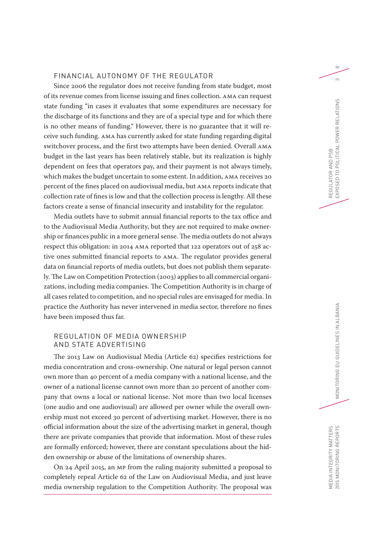#### FINANCIAL AUTONOMY OF THE REGULATOR

Since 2006 the regulator does not receive funding from state budget, most of its revenue comes from license issuing and fines collection. AMA can request state funding "in cases it evaluates that some expenditures are necessary for the discharge of its functions and they are of a special type and for which there is no other means of funding." However, there is no guarantee that it will receive such funding. AMA has currently asked for state funding regarding digital switchover process, and the first two attempts have been denied. Overall AMA budget in the last years has been relatively stable, but its realization is highly dependent on fees that operators pay, and their payment is not always timely, which makes the budget uncertain to some extent. In addition, AMA receives 20 percent of the fines placed on audiovisual media, but AMA reports indicate that collection rate of fines is low and that the collection process is lengthy. All these factors create a sense of financial insecurity and instability for the regulator.

Media outlets have to submit annual financial reports to the tax office and to the Audiovisual Media Authority, but they are not required to make ownership or finances public in a more general sense. The media outlets do not always respect this obligation: in 2014 AMA reported that 122 operators out of 258 active ones submitted financial reports to AMA. The regulator provides general data on financial reports of media outlets, but does not publish them separately. The Law on Competition Protection (2003) applies to all commercial organizations, including media companies. The Competition Authority is in charge of all cases related to competition, and no special rules are envisaged for media. In practice the Authority has never intervened in media sector, therefore no fines have been imposed thus far.

## REGULATION OF MEDIA OWNERSHIP AND STATE ADVERTISING

The 2013 Law on Audiovisual Media (Article 62) specifies restrictions for media concentration and cross-ownership. One natural or legal person cannot own more than 40 percent of a media company with a national license, and the owner of a national license cannot own more than 20 percent of another company that owns a local or national license. Not more than two local licenses (one audio and one audiovisual) are allowed per owner while the overall ownership must not exceed 30 percent of advertising market. However, there is no official information about the size of the advertising market in general, though there are private companies that provide that information. Most of these rules are formally enforced; however, there are constant speculations about the hidden ownership or abuse of the limitations of ownership shares.

On 24 April 2015, an MP from the ruling majority submitted a proposal to completely repeal Article 62 of the Law on Audiovisual Media, and just leave media ownership regulation to the Competition Authority. The proposal was  $\infty$  $\infty$ 

MEDIA INTEGRITY MATTERS

MEDIA INTEGRITY MATTERS<br>2015 MONITORING REPORTS

2015 MONITORING REPORTS MONITORING EU GUIDELINES IN ALBANIA

MONITORING EU GUIDELINES IN ALBANIA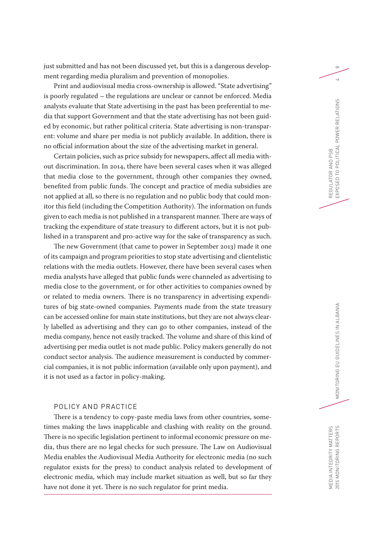just submitted and has not been discussed yet, but this is a dangerous develop- $\infty$ ment regarding media pluralism and prevention of monopolies.

Print and audiovisual media cross-ownership is allowed. "State advertising" is poorly regulated – the regulations are unclear or cannot be enforced. Media analysts evaluate that State advertising in the past has been preferential to media that support Government and that the state advertising has not been guided by economic, but rather political criteria. State advertising is non-transparent: volume and share per media is not publicly available. In addition, there is no official information about the size of the advertising market in general.

Certain policies, such as price subsidy for newspapers, affect all media without discrimination. In 2014, there have been several cases when it was alleged that media close to the government, through other companies they owned, benefited from public funds. The concept and practice of media subsidies are not applied at all, so there is no regulation and no public body that could monitor this field (including the Competition Authority). The information on funds given to each media is not published in a transparent manner. There are ways of tracking the expenditure of state treasury to different actors, but it is not published in a transparent and pro-active way for the sake of transparency as such.

The new Government (that came to power in September 2013) made it one of its campaign and program priorities to stop state advertising and clientelistic relations with the media outlets. However, there have been several cases when media analysts have alleged that public funds were channeled as advertising to media close to the government, or for other activities to companies owned by or related to media owners. There is no transparency in advertising expenditures of big state-owned companies. Payments made from the state treasury can be accessed online for main state institutions, but they are not always clearly labelled as advertising and they can go to other companies, instead of the media company, hence not easily tracked. The volume and share of this kind of advertising per media outlet is not made public. Policy makers generally do not conduct sector analysis. The audience measurement is conducted by commercial companies, it is not public information (available only upon payment), and it is not used as a factor in policy-making.

## POLICY AND PRACTICE

There is a tendency to copy-paste media laws from other countries, sometimes making the laws inapplicable and clashing with reality on the ground. There is no specific legislation pertinent to informal economic pressure on media, thus there are no legal checks for such pressure. The Law on Audiovisual Media enables the Audiovisual Media Authority for electronic media (no such regulator exists for the press) to conduct analysis related to development of electronic media, which may include market situation as well, but so far they have not done it yet. There is no such regulator for print media.

 $\overline{a}$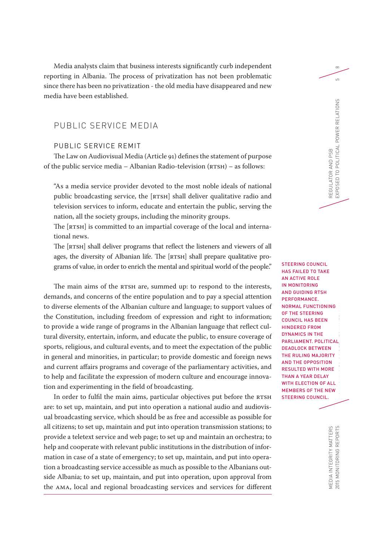Media analysts claim that business interests significantly curb independent  $\infty$ reporting in Albania. The process of privatization has not been problematic since there has been no privatization - the old media have disappeared and new media have been established.

## PUBLIC SERVICE MEDIA

## PUBLIC SERVICE REMIT

The Law on Audiovisual Media (Article 91) defines the statement of purpose of the public service media – Albanian Radio-television (RTSH) – as follows:

"As a media service provider devoted to the most noble ideals of national public broadcasting service, the [RTSH] shall deliver qualitative radio and television services to inform, educate and entertain the public, serving the nation, all the society groups, including the minority groups.

The [RTSH] is committed to an impartial coverage of the local and international news.

The [RTSH] shall deliver programs that reflect the listeners and viewers of all ages, the diversity of Albanian life. The [RTSH] shall prepare qualitative programs of value, in order to enrich the mental and spiritual world of the people."

The main aims of the RTSH are, summed up: to respond to the interests, demands, and concerns of the entire population and to pay a special attention to diverse elements of the Albanian culture and language; to support values of the Constitution, including freedom of expression and right to information; to provide a wide range of programs in the Albanian language that reflect cultural diversity, entertain, inform, and educate the public, to ensure coverage of sports, religious, and cultural events, and to meet the expectation of the public in general and minorities, in particular; to provide domestic and foreign news and current affairs programs and coverage of the parliamentary activities, and to help and facilitate the expression of modern culture and encourage innovation and experimenting in the field of broadcasting.

In order to fulfil the main aims, particular objectives put before the RTSH are: to set up, maintain, and put into operation a national audio and audiovisual broadcasting service, which should be as free and accessible as possible for all citizens; to set up, maintain and put into operation transmission stations; to provide a teletext service and web page; to set up and maintain an orchestra; to help and cooperate with relevant public institutions in the distribution of information in case of a state of emergency; to set up, maintain, and put into operation a broadcasting service accessible as much as possible to the Albanians outside Albania; to set up, maintain, and put into operation, upon approval from the AMA, local and regional broadcasting services and services for different

2015 MONITORING REPORTS MONITORING EU MONITORING EU GUIDELINES IN ALBANIA STEERING COUNCIL HAS FAILED TO TAKE AN ACTIVE ROLE IN MONITORING AND GUIDING RTSH PERFORMANCE. NORMAL FUNCTIONING OF THE STEERING COUNCIL HAS BEEN HINDERED FROM DYNAMICS IN THE PARLIAMENT. POLITICAL DEADLOCK BETWEEN THE RULING MAJORITY AND THE OPPOSITION RESULTED WITH MORE THAN A YEAR DELAY WITH **FLECTION OF ALL** MEMBERS OF THE NEW STEERING COUNCIL.

REGULATOR AND PSB

EXPOSED TO POLITICAL POWER RELATIONS 5

REGULATOR AND PSB<br>EXPOSED TO POLITICAL POWER RELATIONS

 $\overline{5}$ 

MEDIA INTEGRITY MATTERS<br>2015 MONITORING REPORTS MEDIA INTEGRITY MATTERS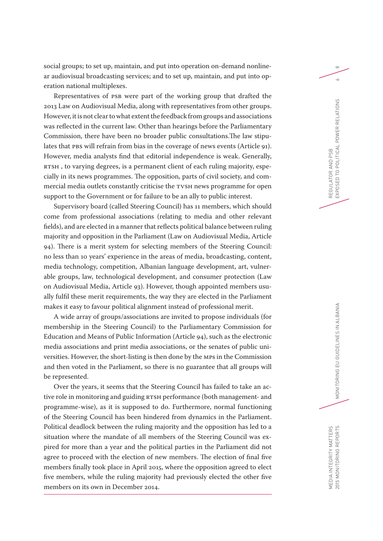social groups; to set up, maintain, and put into operation on-demand nonline- $\infty$ ar audiovisual broadcasting services; and to set up, maintain, and put into operation national multiplexes.

Representatives of PSB were part of the working group that drafted the 2013 Law on Audiovisual Media, along with representatives from other groups. However, it is not clear to what extent the feedback from groups and associations was reflected in the current law. Other than hearings before the Parliamentary Commission, there have been no broader public consultations.The law stipulates that PBS will refrain from bias in the coverage of news events (Article 91). However, media analysts find that editorial independence is weak. Generally, RTSH , to varying degrees, is a permanent client of each ruling majority, especially in its news programmes. The opposition, parts of civil society, and commercial media outlets constantly criticise the TVSH news programme for open support to the Government or for failure to be an ally to public interest.

Supervisory board (called Steering Council) has 11 members, which should come from professional associations (relating to media and other relevant fields), and are elected in a manner that reflects political balance between ruling majority and opposition in the Parliament (Law on Audiovisual Media, Article 94). There is a merit system for selecting members of the Steering Council: no less than 10 years' experience in the areas of media, broadcasting, content, media technology, competition, Albanian language development, art, vulnerable groups, law, technological development, and consumer protection (Law on Audiovisual Media, Article 93). However, though appointed members usually fulfil these merit requirements, the way they are elected in the Parliament makes it easy to favour political alignment instead of professional merit.

A wide array of groups/associations are invited to propose individuals (for membership in the Steering Council) to the Parliamentary Commission for Education and Means of Public Information (Article 94), such as the electronic media associations and print media associations, or the senates of public universities. However, the short-listing is then done by the MPs in the Commission and then voted in the Parliament, so there is no guarantee that all groups will be represented.

Over the years, it seems that the Steering Council has failed to take an active role in monitoring and guiding RTSH performance (both management- and programme-wise), as it is supposed to do. Furthermore, normal functioning of the Steering Council has been hindered from dynamics in the Parliament. Political deadlock between the ruling majority and the opposition has led to a situation where the mandate of all members of the Steering Council was expired for more than a year and the political parties in the Parliament did not agree to proceed with the election of new members. The election of final five members finally took place in April 2015, where the opposition agreed to elect five members, while the ruling majority had previously elected the other five members on its own in December 2014.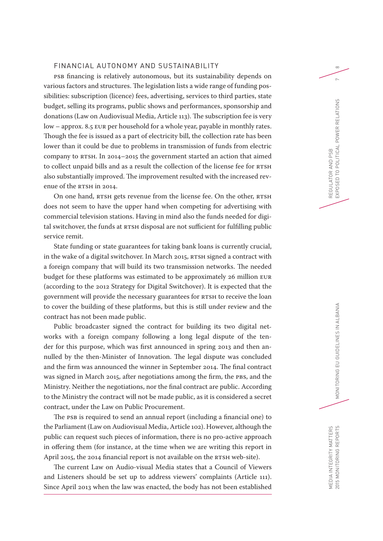## FINANCIAL AUTONOMY AND SUSTAINABILITY AND SOME RESEARCH AND SOMETHING ASSESSMENT ASSESSMENT ASSESSMENT ASSESSMENT ASSESSMENT AND RESEARCH AND RESEARCH AND RESEARCH AND RESEARCH AND RESEARCH AND RESEARCH AND RESEARCH AND RE

PSB financing is relatively autonomous, but its sustainability depends on various factors and structures. The legislation lists a wide range of funding possibilities: subscription (licence) fees, advertising, services to third parties, state budget, selling its programs, public shows and performances, sponsorship and donations (Law on Audiovisual Media, Article 113). The subscription fee is very low – approx. 8.5 EUR per household for a whole year, payable in monthly rates. Though the fee is issued as a part of electricity bill, the collection rate has been lower than it could be due to problems in transmission of funds from electric company to RTSH. In 2014–2015 the government started an action that aimed to collect unpaid bills and as a result the collection of the license fee for RTSH also substantially improved. The improvement resulted with the increased revenue of the RTSH in 2014.

On one hand, RTSH gets revenue from the license fee. On the other, RTSH does not seem to have the upper hand when competing for advertising with commercial television stations. Having in mind also the funds needed for digital switchover, the funds at RTSH disposal are not sufficient for fulfilling public service remit.

State funding or state guarantees for taking bank loans is currently crucial, in the wake of a digital switchover. In March 2015, RTSH signed a contract with a foreign company that will build its two transmission networks. The needed budget for these platforms was estimated to be approximately 26 million EUR (according to the 2012 Strategy for Digital Switchover). It is expected that the government will provide the necessary guarantees for RTSH to receive the loan to cover the building of these platforms, but this is still under review and the contract has not been made public.

Public broadcaster signed the contract for building its two digital networks with a foreign company following a long legal dispute of the tender for this purpose, which was first announced in spring 2013 and then annulled by the then-Minister of Innovation. The legal dispute was concluded and the firm was announced the winner in September 2014. The final contract was signed in March 2015, after negotiations among the firm, the PBS, and the Ministry. Neither the negotiations, nor the final contract are public. According to the Ministry the contract will not be made public, as it is considered a secret contract, under the Law on Public Procurement.

The PSB is required to send an annual report (including a financial one) to the Parliament (Law on Audiovisual Media, Article 102). However, although the public can request such pieces of information, there is no pro-active approach in offering them (for instance, at the time when we are writing this report in April 2015, the 2014 financial report is not available on the RTSH web-site).

The current Law on Audio-visual Media states that a Council of Viewers and Listeners should be set up to address viewers' complaints (Article 111). Since April 2013 when the law was enacted, the body has not been established  $\sim$ 

MEDIA INTEGRITY MATTERS

MEDIA INTEGRITY MATTERS<br>2015 MONITORING REPORTS